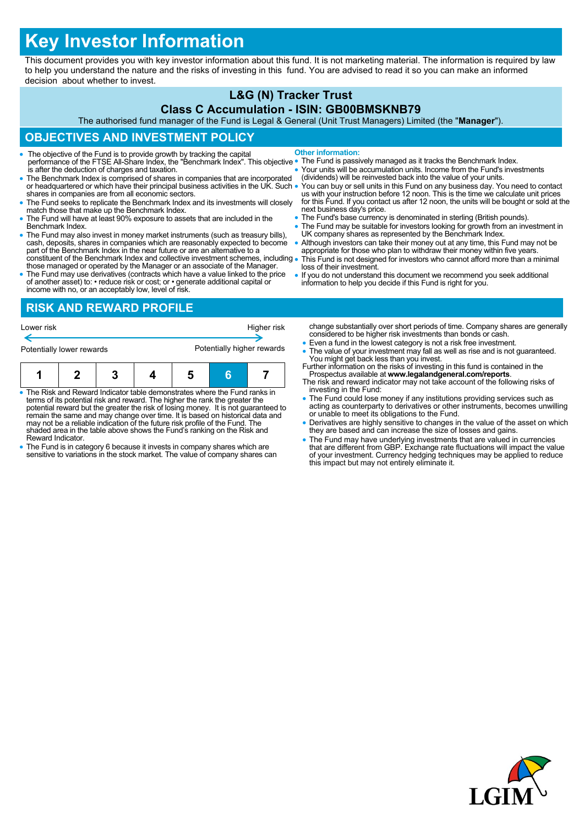# **Key Investor Information**

This document provides you with key investor information about this fund. It is not marketing material. The information is required by law to help you understand the nature and the risks of investing in this fund. You are advised to read it so you can make an informed decision about whether to invest.

# **L&G (N) Tracker Trust**

#### **Class C Accumulation - ISIN: GB00BMSKNB79**

The authorised fund manager of the Fund is Legal & General (Unit Trust Managers) Limited (the "**Manager**").

## **OBJECTIVES AND INVESTMENT POLICY**

- The objective of the Fund is to provide growth by tracking the capital performance of the FTSE All-Share Index, the "Benchmark Index". This objective is after the deduction of charges and taxation. **Other information:**
- The Benchmark Index is comprised of shares in companies that are incorporated or headquartered or which have their principal business activities in the UK. Such . shares in companies are from all economic sectors.
- The Fund seeks to replicate the Benchmark Index and its investments will closely match those that make up the Benchmark Index.
- The Fund will have at least 90% exposure to assets that are included in the Benchmark Index.
- The Fund may also invest in money market instruments (such as treasury bills), cash, deposits, shares in companies which are reasonably expected to become part of the Benchmark Index in the near future or are an alternat constituent of the Benchmark Index and collective investment schemes, including
- those managed or operated by the Manager or an associate of the Manager. The Fund may use derivatives (contracts which have a value linked to the price of another asset) to: • reduce risk or cost; or • generate additional capital or
- The Fund is passively managed as it tracks the Benchmark Index.
- Your units will be accumulation units. Income from the Fund's investments (dividends) will be reinvested back into the value of your units.
- You can buy or sell units in this Fund on any business day. You need to contact<br>us with your instruction before 12 noon. This is the time we calculate unit prices<br>for this Fund. If you contact us after 12 noon, the units next business day's price.
- The Fund's base currency is denominated in sterling (British pounds).
- The Fund may be suitable for investors looking for growth from an investment in UK company shares as represented by the Benchmark Index.
- Although investors can take their money out at any time, this Fund may not be appropriate for those who plan to withdraw their money within five years. This Fund is not designed for investors who cannot afford more than a minimal
- loss of their investment. If you do not understand this document we recommend you seek additional
- information to help you decide if this Fund is right for you.

income with no, or an acceptably low, level of risk. **RISK AND REWARD PROFILE**

| Lower risk                |  |   |  |                            | Higher risk |  |
|---------------------------|--|---|--|----------------------------|-------------|--|
| Potentially lower rewards |  |   |  | Potentially higher rewards |             |  |
|                           |  | 3 |  |                            | Ħ           |  |

- The Risk and Reward Indicator table demonstrates where the Fund ranks in<br>terms of its potential risk and reward. The higher the rank the greater the<br>potential reward but the greater the risk of losing money. It is not gu may not be a reliable indication of the future risk profile of the Fund. The shaded area in the table above shows the Fund's ranking on the Risk and Reward Indicator.
- The Fund is in category 6 because it invests in company shares which are sensitive to variations in the stock market. The value of company shares can
- change substantially over short periods of time. Company shares are generally considered to be higher risk investments than bonds or cash.
- Even a fund in the lowest category is not a risk free investment.
- The value of your investment may fall as well as rise and is not guaranteed.
- You might get back less than you invest. Further information on the risks of investing in this fund is contained in the Prospectus available at **www.legalandgeneral.com/reports**. The risk and reward indicator may not take account of the following risks of
- investing in the Fund: The Fund could lose money if any institutions providing services such as
- acting as counterparty to derivatives or other instruments, becomes unwilling or unable to meet its obligations to the Fund.
- Derivatives are highly sensitive to changes in the value of the asset on which they are based and can increase the size of losses and gains.
- The Fund may have underlying investments that are valued in currencies that are different from GBP. Exchange rate fluctuations will impact the value of your investment. Currency hedging techniques may be applied to reduce this impact but may not entirely eliminate it.